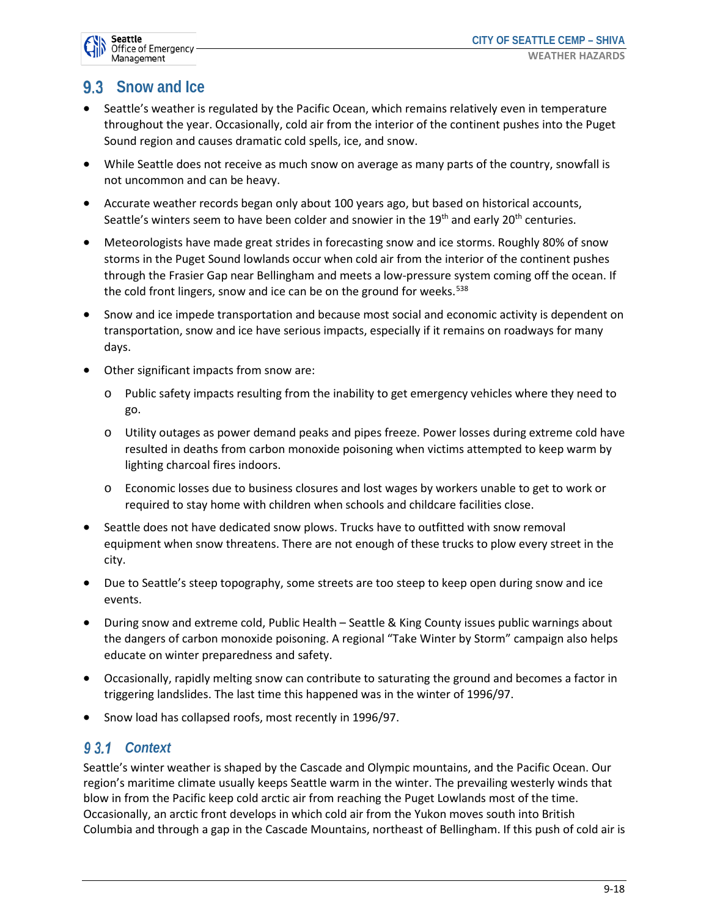

# **9.3** Snow and Ice

- Seattle's weather is regulated by the Pacific Ocean, which remains relatively even in temperature throughout the year. Occasionally, cold air from the interior of the continent pushes into the Puget Sound region and causes dramatic cold spells, ice, and snow.
- While Seattle does not receive as much snow on average as many parts of the country, snowfall is not uncommon and can be heavy.
- Accurate weather records began only about 100 years ago, but based on historical accounts, Seattle's winters seem to have been colder and snowier in the  $19<sup>th</sup>$  and early  $20<sup>th</sup>$  centuries.
- Meteorologists have made great strides in forecasting snow and ice storms. Roughly 80% of snow storms in the Puget Sound lowlands occur when cold air from the interior of the continent pushes through the Frasier Gap near Bellingham and meets a low-pressure system coming off the ocean. If the cold front lingers, snow and ice can be on the ground for weeks.<sup>538</sup>
- Snow and ice impede transportation and because most social and economic activity is dependent on transportation, snow and ice have serious impacts, especially if it remains on roadways for many days.
- Other significant impacts from snow are:
	- o Public safety impacts resulting from the inability to get emergency vehicles where they need to go.
	- o Utility outages as power demand peaks and pipes freeze. Power losses during extreme cold have resulted in deaths from carbon monoxide poisoning when victims attempted to keep warm by lighting charcoal fires indoors.
	- o Economic losses due to business closures and lost wages by workers unable to get to work or required to stay home with children when schools and childcare facilities close.
- Seattle does not have dedicated snow plows. Trucks have to outfitted with snow removal equipment when snow threatens. There are not enough of these trucks to plow every street in the city.
- Due to Seattle's steep topography, some streets are too steep to keep open during snow and ice events.
- During snow and extreme cold, Public Health Seattle & King County issues public warnings about the dangers of carbon monoxide poisoning. A regional "Take Winter by Storm" campaign also helps educate on winter preparedness and safety.
- Occasionally, rapidly melting snow can contribute to saturating the ground and becomes a factor in triggering landslides. The last time this happened was in the winter of 1996/97.
- Snow load has collapsed roofs, most recently in 1996/97.

## *Context*

Seattle's winter weather is shaped by the Cascade and Olympic mountains, and the Pacific Ocean. Our region's maritime climate usually keeps Seattle warm in the winter. The prevailing westerly winds that blow in from the Pacific keep cold arctic air from reaching the Puget Lowlands most of the time. Occasionally, an arctic front develops in which cold air from the Yukon moves south into British Columbia and through a gap in the Cascade Mountains, northeast of Bellingham. If this push of cold air is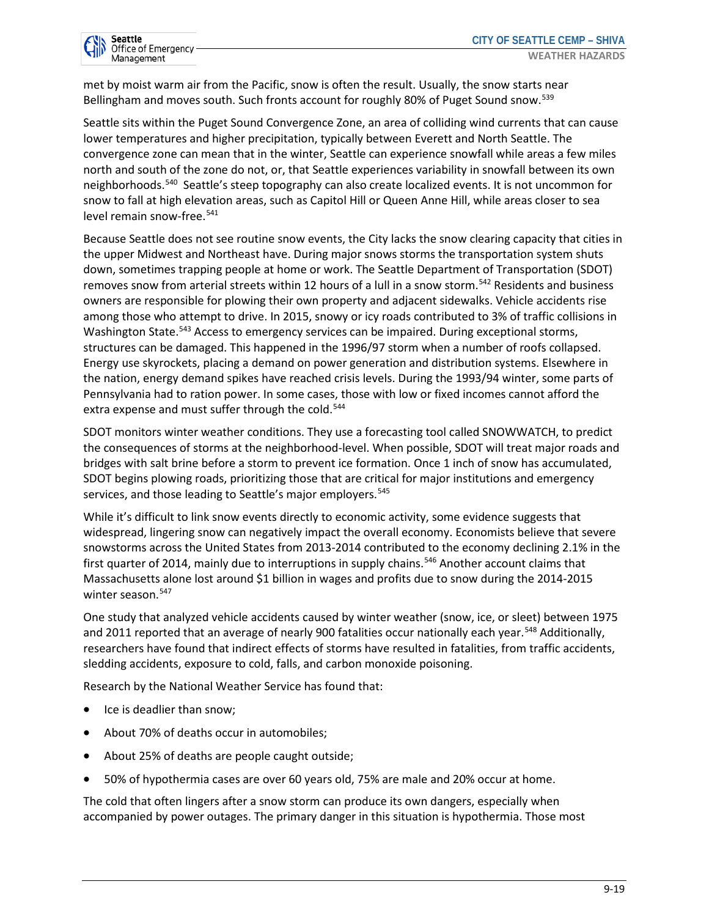

met by moist warm air from the Pacific, snow is often the result. Usually, the snow starts near Bellingham and moves south. Such fronts account for roughly 80% of Puget Sound snow.<sup>539</sup>

Seattle sits within the Puget Sound Convergence Zone, an area of colliding wind currents that can cause lower temperatures and higher precipitation, typically between Everett and North Seattle. The convergence zone can mean that in the winter, Seattle can experience snowfall while areas a few miles north and south of the zone do not, or, that Seattle experiences variability in snowfall between its own neighborhoods.<sup>540</sup> Seattle's steep topography can also create localized events. It is not uncommon for snow to fall at high elevation areas, such as Capitol Hill or Queen Anne Hill, while areas closer to sea level remain snow-free.<sup>541</sup>

Because Seattle does not see routine snow events, the City lacks the snow clearing capacity that cities in the upper Midwest and Northeast have. During major snows storms the transportation system shuts down, sometimes trapping people at home or work. The Seattle Department of Transportation (SDOT) removes snow from arterial streets within 12 hours of a lull in a snow storm.<sup>542</sup> Residents and business owners are responsible for plowing their own property and adjacent sidewalks. Vehicle accidents rise among those who attempt to drive. In 2015, snowy or icy roads contributed to 3% of traffic collisions in Washington State.<sup>543</sup> Access to emergency services can be impaired. During exceptional storms, structures can be damaged. This happened in the 1996/97 storm when a number of roofs collapsed. Energy use skyrockets, placing a demand on power generation and distribution systems. Elsewhere in the nation, energy demand spikes have reached crisis levels. During the 1993/94 winter, some parts of Pennsylvania had to ration power. In some cases, those with low or fixed incomes cannot afford the extra expense and must suffer through the cold.<sup>544</sup>

SDOT monitors winter weather conditions. They use a forecasting tool called SNOWWATCH, to predict the consequences of storms at the neighborhood-level. When possible, SDOT will treat major roads and bridges with salt brine before a storm to prevent ice formation. Once 1 inch of snow has accumulated, SDOT begins plowing roads, prioritizing those that are critical for major institutions and emergency services, and those leading to Seattle's major employers.<sup>545</sup>

While it's difficult to link snow events directly to economic activity, some evidence suggests that widespread, lingering snow can negatively impact the overall economy. Economists believe that severe snowstorms across the United States from 2013-2014 contributed to the economy declining 2.1% in the first quarter of 2014, mainly due to interruptions in supply chains.<sup>546</sup> Another account claims that Massachusetts alone lost around \$1 billion in wages and profits due to snow during the 2014-2015 winter season.<sup>547</sup>

One study that analyzed vehicle accidents caused by winter weather (snow, ice, or sleet) between 1975 and 2011 reported that an average of nearly 900 fatalities occur nationally each year.<sup>548</sup> Additionally, researchers have found that indirect effects of storms have resulted in fatalities, from traffic accidents, sledding accidents, exposure to cold, falls, and carbon monoxide poisoning.

Research by the National Weather Service has found that:

- Ice is deadlier than snow;
- About 70% of deaths occur in automobiles;
- About 25% of deaths are people caught outside;
- 50% of hypothermia cases are over 60 years old, 75% are male and 20% occur at home.

The cold that often lingers after a snow storm can produce its own dangers, especially when accompanied by power outages. The primary danger in this situation is hypothermia. Those most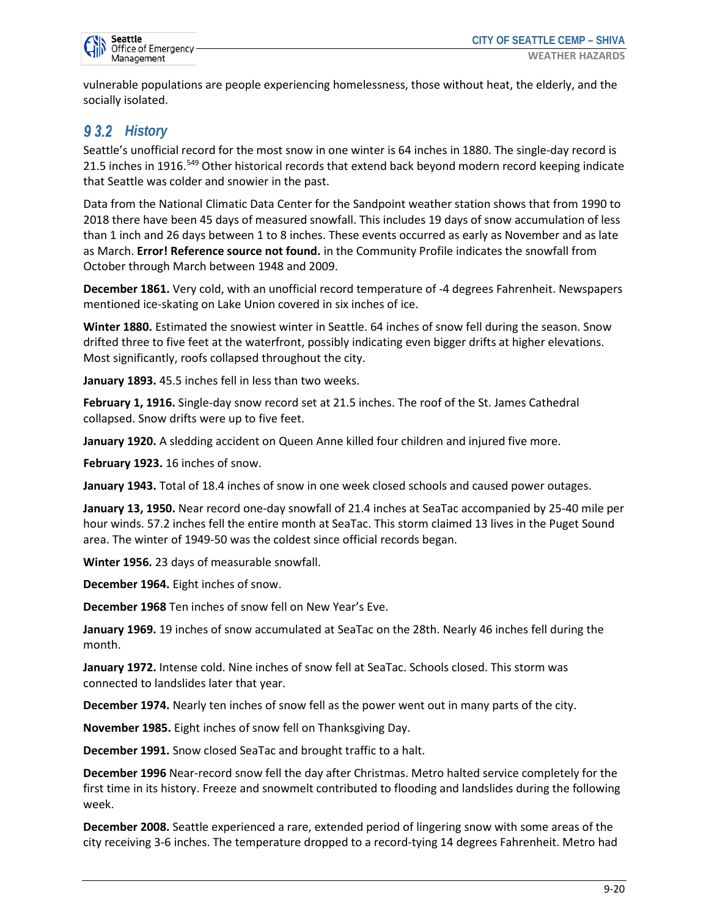



vulnerable populations are people experiencing homelessness, those without heat, the elderly, and the socially isolated.

# **93.2** History

Seattle's unofficial record for the most snow in one winter is 64 inches in 1880. The single-day record is 21.5 inches in 1916.<sup>549</sup> Other historical records that extend back beyond modern record keeping indicate that Seattle was colder and snowier in the past.

Data from the National Climatic Data Center for the Sandpoint weather station shows that from 1990 to 2018 there have been 45 days of measured snowfall. This includes 19 days of snow accumulation of less than 1 inch and 26 days between 1 to 8 inches. These events occurred as early as November and as late as March. **Error! Reference source not found.** in the Community Profile indicates the snowfall from October through March between 1948 and 2009.

**December 1861.** Very cold, with an unofficial record temperature of -4 degrees Fahrenheit. Newspapers mentioned ice-skating on Lake Union covered in six inches of ice.

**Winter 1880.** Estimated the snowiest winter in Seattle. 64 inches of snow fell during the season. Snow drifted three to five feet at the waterfront, possibly indicating even bigger drifts at higher elevations. Most significantly, roofs collapsed throughout the city.

**January 1893.** 45.5 inches fell in less than two weeks.

**February 1, 1916.** Single-day snow record set at 21.5 inches. The roof of the St. James Cathedral collapsed. Snow drifts were up to five feet.

**January 1920.** A sledding accident on Queen Anne killed four children and injured five more.

**February 1923.** 16 inches of snow.

**January 1943.** Total of 18.4 inches of snow in one week closed schools and caused power outages.

**January 13, 1950.** Near record one-day snowfall of 21.4 inches at SeaTac accompanied by 25-40 mile per hour winds. 57.2 inches fell the entire month at SeaTac. This storm claimed 13 lives in the Puget Sound area. The winter of 1949-50 was the coldest since official records began.

**Winter 1956.** 23 days of measurable snowfall.

**December 1964.** Eight inches of snow.

**December 1968** Ten inches of snow fell on New Year's Eve.

**January 1969.** 19 inches of snow accumulated at SeaTac on the 28th. Nearly 46 inches fell during the month.

**January 1972.** Intense cold. Nine inches of snow fell at SeaTac. Schools closed. This storm was connected to landslides later that year.

**December 1974.** Nearly ten inches of snow fell as the power went out in many parts of the city.

**November 1985.** Eight inches of snow fell on Thanksgiving Day.

**December 1991.** Snow closed SeaTac and brought traffic to a halt.

**December 1996** Near-record snow fell the day after Christmas. Metro halted service completely for the first time in its history. Freeze and snowmelt contributed to flooding and landslides during the following week.

**December 2008.** Seattle experienced a rare, extended period of lingering snow with some areas of the city receiving 3-6 inches. The temperature dropped to a record-tying 14 degrees Fahrenheit. Metro had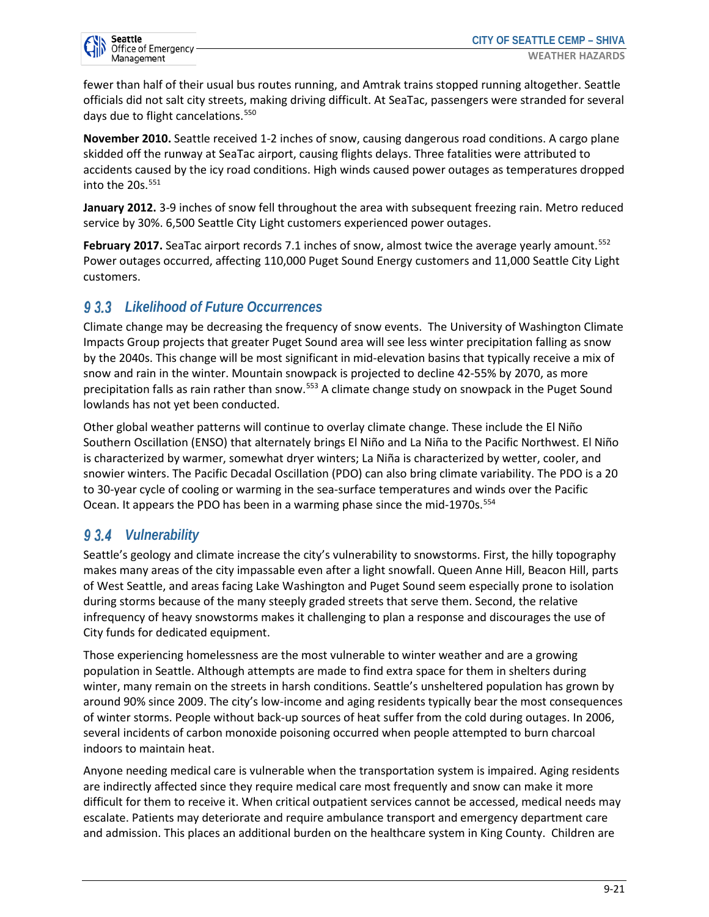

fewer than half of their usual bus routes running, and Amtrak trains stopped running altogether. Seattle officials did not salt city streets, making driving difficult. At SeaTac, passengers were stranded for several days due to flight cancelations.<sup>550</sup>

**November 2010.** Seattle received 1-2 inches of snow, causing dangerous road conditions. A cargo plane skidded off the runway at SeaTac airport, causing flights delays. Three fatalities were attributed to accidents caused by the icy road conditions. High winds caused power outages as temperatures dropped into the 20s.<sup>551</sup>

**January 2012.** 3-9 inches of snow fell throughout the area with subsequent freezing rain. Metro reduced service by 30%. 6,500 Seattle City Light customers experienced power outages.

**February 2017.** SeaTac airport records 7.1 inches of snow, almost twice the average yearly amount.<sup>552</sup> Power outages occurred, affecting 110,000 Puget Sound Energy customers and 11,000 Seattle City Light customers.

# *Likelihood of Future Occurrences*

Climate change may be decreasing the frequency of snow events. The University of Washington Climate Impacts Group projects that greater Puget Sound area will see less winter precipitation falling as snow by the 2040s. This change will be most significant in mid-elevation basins that typically receive a mix of snow and rain in the winter. Mountain snowpack is projected to decline 42-55% by 2070, as more precipitation falls as rain rather than snow.<sup>553</sup> A climate change study on snowpack in the Puget Sound lowlands has not yet been conducted.

Other global weather patterns will continue to overlay climate change. These include the El Niño Southern Oscillation (ENSO) that alternately brings El Niño and La Niña to the Pacific Northwest. El Niño is characterized by warmer, somewhat dryer winters; La Niña is characterized by wetter, cooler, and snowier winters. The Pacific Decadal Oscillation (PDO) can also bring climate variability. The PDO is a 20 to 30-year cycle of cooling or warming in the sea-surface temperatures and winds over the Pacific Ocean. It appears the PDO has been in a warming phase since the mid-1970s.554

# *Vulnerability*

Seattle's geology and climate increase the city's vulnerability to snowstorms. First, the hilly topography makes many areas of the city impassable even after a light snowfall. Queen Anne Hill, Beacon Hill, parts of West Seattle, and areas facing Lake Washington and Puget Sound seem especially prone to isolation during storms because of the many steeply graded streets that serve them. Second, the relative infrequency of heavy snowstorms makes it challenging to plan a response and discourages the use of City funds for dedicated equipment.

Those experiencing homelessness are the most vulnerable to winter weather and are a growing population in Seattle. Although attempts are made to find extra space for them in shelters during winter, many remain on the streets in harsh conditions. Seattle's unsheltered population has grown by around 90% since 2009. The city's low-income and aging residents typically bear the most consequences of winter storms. People without back-up sources of heat suffer from the cold during outages. In 2006, several incidents of carbon monoxide poisoning occurred when people attempted to burn charcoal indoors to maintain heat.

Anyone needing medical care is vulnerable when the transportation system is impaired. Aging residents are indirectly affected since they require medical care most frequently and snow can make it more difficult for them to receive it. When critical outpatient services cannot be accessed, medical needs may escalate. Patients may deteriorate and require ambulance transport and emergency department care and admission. This places an additional burden on the healthcare system in King County. Children are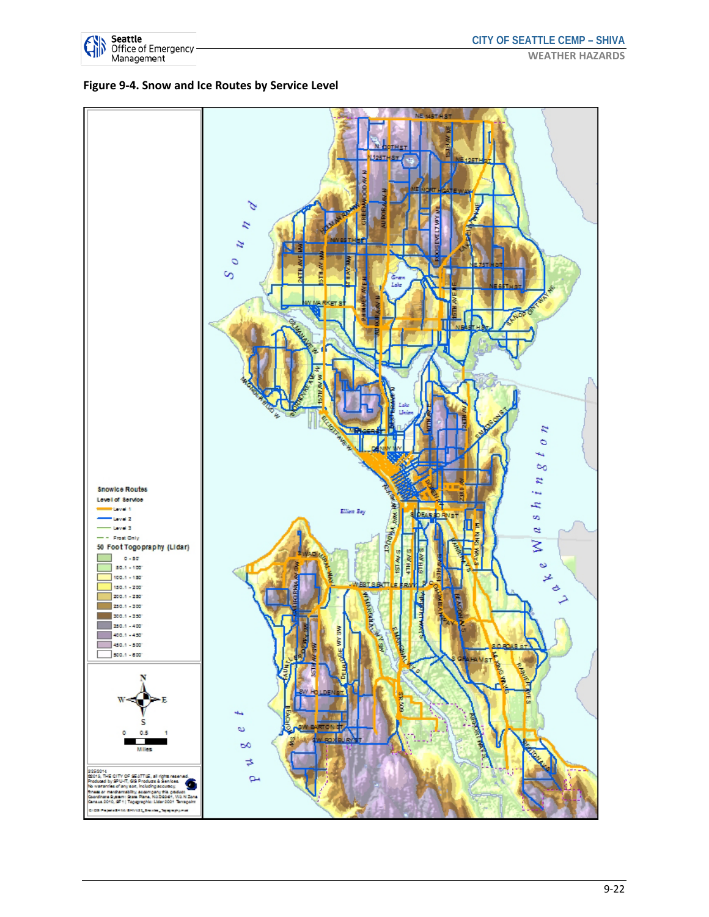

#### **Figure 9-4. Snow and Ice Routes by Service Level**